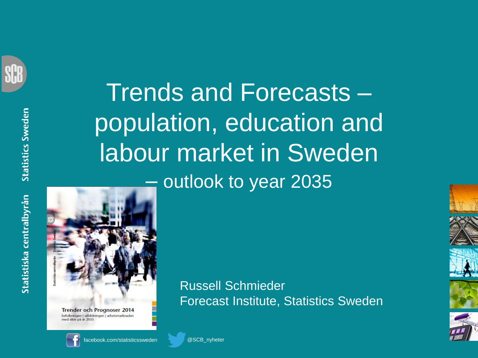

**Statistics Sweden** Statistiska centralbyrån





**Trender och Prognoser 2014** befolkningen | utbildningen | arbetsmarknaden med sikte på år 2035



facebook.com/statisticssweden @SCB\_nyheter

Russell Schmieder Forecast Institute, Statistics Sweden



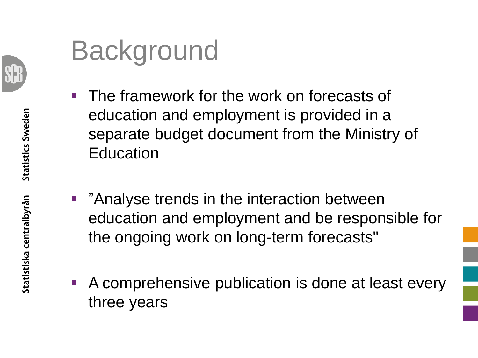

## Background

- The framework for the work on forecasts of education and employment is provided in a separate budget document from the Ministry of Education
- **"Analyse trends in the interaction between** education and employment and be responsible for the ongoing work on long-term forecasts"
- A comprehensive publication is done at least every three years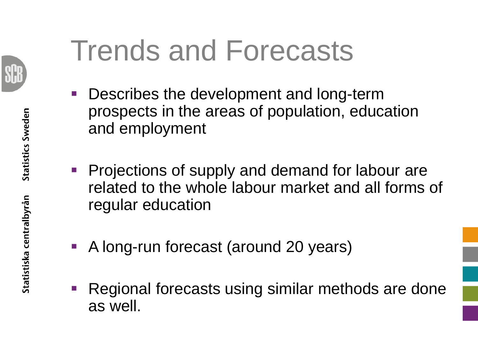

# Trends and Forecasts

- Describes the development and long-term prospects in the areas of population, education and employment
- **Projections of supply and demand for labour are** related to the whole labour market and all forms of regular education
- A long-run forecast (around 20 years)
- Regional forecasts using similar methods are done as well.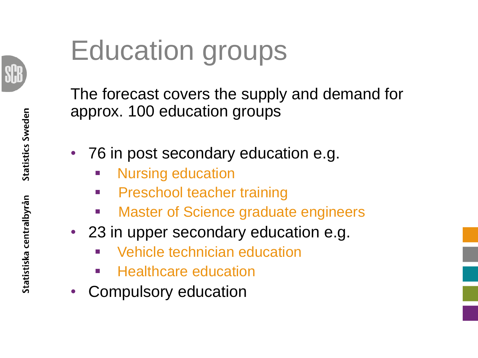

# Education groups

The forecast covers the supply and demand for approx. 100 education groups

- 76 in post secondary education e.g.
	- Nursing education
	- **Preschool teacher training**
	- Master of Science graduate engineers
- 23 in upper secondary education e.g.
	- Vehicle technician education
	- Healthcare education
- Compulsory education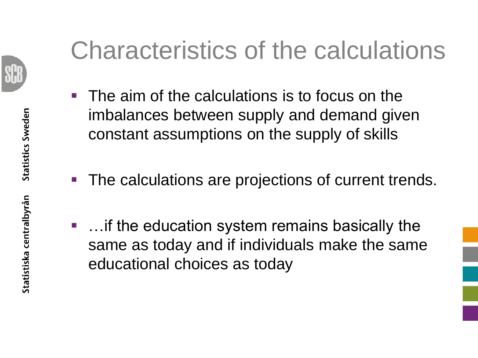

### Characteristics of the calculations

- $\blacksquare$  The aim of the calculations is to focus on the imbalances between supply and demand given constant assumptions on the supply of skills
- The calculations are projections of current trends.
- …if the education system remains basically the same as today and if individuals make the same educational choices as today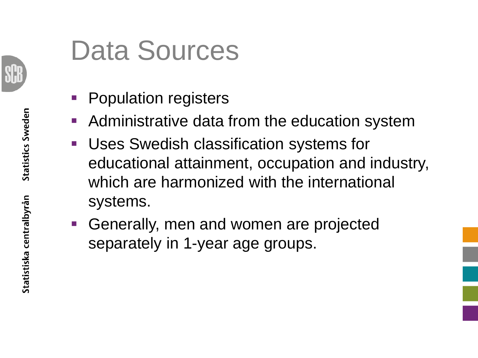

# Data Sources

- Population registers
- **Administrative data from the education system**
- **Uses Swedish classification systems for** educational attainment, occupation and industry, which are harmonized with the international systems.
- Generally, men and women are projected separately in 1-year age groups.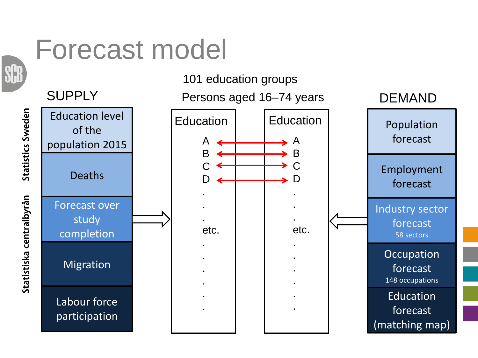#### Forecast model

Statistics Sweden

Statistiska centralbyrån



101 education groups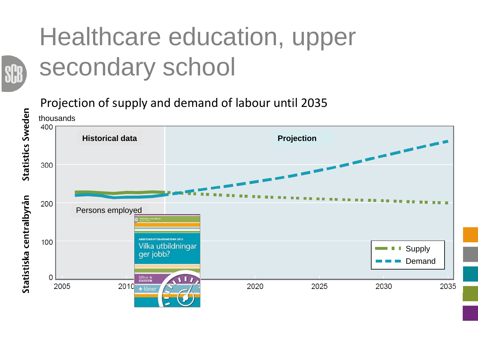#### Healthcare education, upper secondary school

Projection of supply and demand of labour until 2035